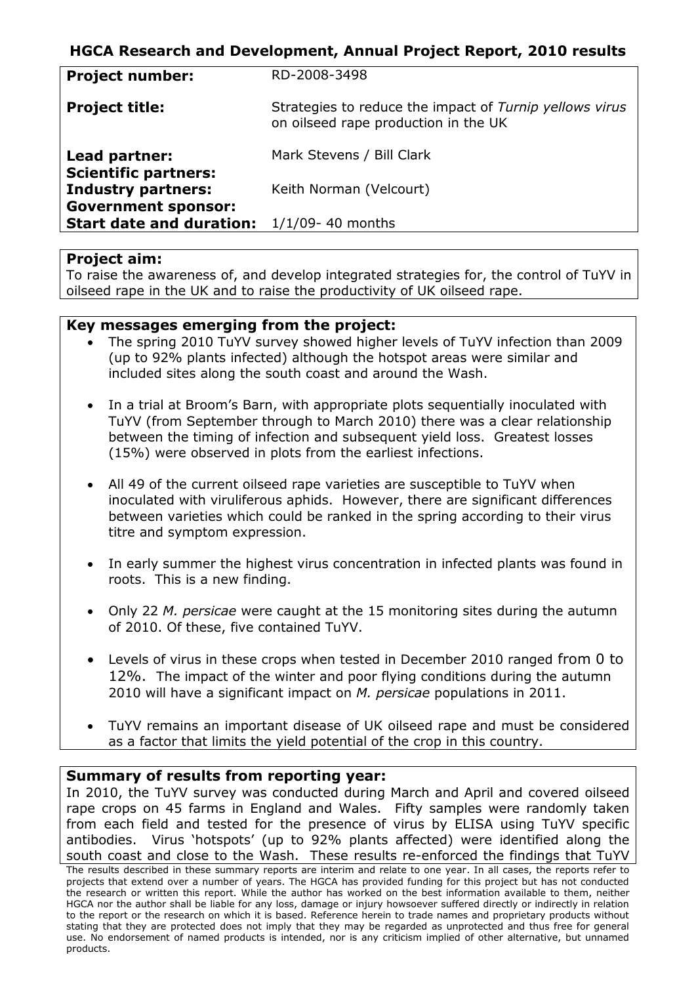# **HGCA Research and Development, Annual Project Report, 2010 results**

| <b>Project number:</b>                                        | RD-2008-3498                                                                                    |
|---------------------------------------------------------------|-------------------------------------------------------------------------------------------------|
| <b>Project title:</b>                                         | Strategies to reduce the impact of Turnip yellows virus<br>on oilseed rape production in the UK |
| Lead partner:                                                 | Mark Stevens / Bill Clark                                                                       |
| <b>Scientific partners:</b><br><b>Industry partners:</b>      | Keith Norman (Velcourt)                                                                         |
| <b>Government sponsor:</b><br><b>Start date and duration:</b> | $1/1/09 - 40$ months                                                                            |

#### **Project aim:**

To raise the awareness of, and develop integrated strategies for, the control of TuYV in oilseed rape in the UK and to raise the productivity of UK oilseed rape.

### **Key messages emerging from the project:**

- The spring 2010 TuYV survey showed higher levels of TuYV infection than 2009 (up to 92% plants infected) although the hotspot areas were similar and included sites along the south coast and around the Wash.
- In a trial at Broom's Barn, with appropriate plots sequentially inoculated with TuYV (from September through to March 2010) there was a clear relationship between the timing of infection and subsequent yield loss. Greatest losses (15%) were observed in plots from the earliest infections.
- All 49 of the current oilseed rape varieties are susceptible to TuYV when inoculated with viruliferous aphids. However, there are significant differences between varieties which could be ranked in the spring according to their virus titre and symptom expression.
- In early summer the highest virus concentration in infected plants was found in roots. This is a new finding.
- Only 22 *M. persicae* were caught at the 15 monitoring sites during the autumn of 2010. Of these, five contained TuYV.
- Levels of virus in these crops when tested in December 2010 ranged from 0 to 12%. The impact of the winter and poor flying conditions during the autumn 2010 will have a significant impact on *M. persicae* populations in 2011.
- TuYV remains an important disease of UK oilseed rape and must be considered as a factor that limits the yield potential of the crop in this country.

#### **Summary of results from reporting year:**

In 2010, the TuYV survey was conducted during March and April and covered oilseed rape crops on 45 farms in England and Wales. Fifty samples were randomly taken from each field and tested for the presence of virus by ELISA using TuYV specific antibodies. Virus 'hotspots' (up to 92% plants affected) were identified along the south coast and close to the Wash. These results re-enforced the findings that TuYV

The results described in these summary reports are interim and relate to one year. In all cases, the reports refer to projects that extend over a number of years. The HGCA has provided funding for this project but has not conducted the research or written this report. While the author has worked on the best information available to them, neither HGCA nor the author shall be liable for any loss, damage or injury howsoever suffered directly or indirectly in relation to the report or the research on which it is based. Reference herein to trade names and proprietary products without stating that they are protected does not imply that they may be regarded as unprotected and thus free for general use. No endorsement of named products is intended, nor is any criticism implied of other alternative, but unnamed products.